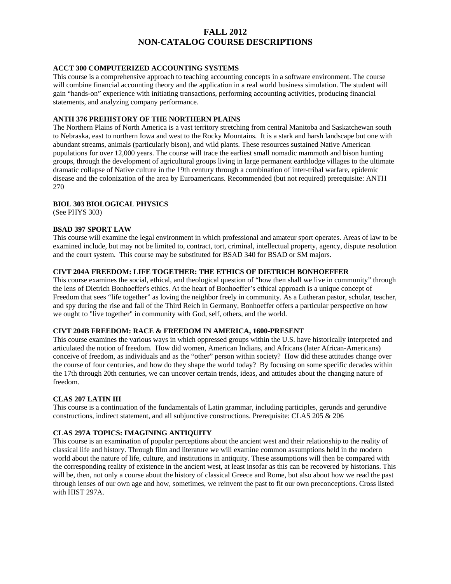# **FALL 2012 NON-CATALOG COURSE DESCRIPTIONS**

### **ACCT 300 COMPUTERIZED ACCOUNTING SYSTEMS**

This course is a comprehensive approach to teaching accounting concepts in a software environment. The course will combine financial accounting theory and the application in a real world business simulation. The student will gain "hands-on" experience with initiating transactions, performing accounting activities, producing financial statements, and analyzing company performance.

### **ANTH 376 PREHISTORY OF THE NORTHERN PLAINS**

The Northern Plains of North America is a vast territory stretching from central Manitoba and Saskatchewan south to Nebraska, east to northern Iowa and west to the Rocky Mountains. It is a stark and harsh landscape but one with abundant streams, animals (particularly bison), and wild plants. These resources sustained Native American populations for over 12,000 years. The course will trace the earliest small nomadic mammoth and bison hunting groups, through the development of agricultural groups living in large permanent earthlodge villages to the ultimate dramatic collapse of Native culture in the 19th century through a combination of inter-tribal warfare, epidemic disease and the colonization of the area by Euroamericans. Recommended (but not required) prerequisite: ANTH 270

### **BIOL 303 BIOLOGICAL PHYSICS**

(See PHYS 303)

### **BSAD 397 SPORT LAW**

This course will examine the legal environment in which professional and amateur sport operates. Areas of law to be examined include, but may not be limited to, contract, tort, criminal, intellectual property, agency, dispute resolution and the court system. This course may be substituted for BSAD 340 for BSAD or SM majors.

# **CIVT 204A FREEDOM: LIFE TOGETHER: THE ETHICS OF DIETRICH BONHOEFFER**

This course examines the social, ethical, and theological question of "how then shall we live in community" through the lens of Dietrich Bonhoeffer's ethics. At the heart of Bonhoeffer's ethical approach is a unique concept of Freedom that sees "life together" as loving the neighbor freely in community. As a Lutheran pastor, scholar, teacher, and spy during the rise and fall of the Third Reich in Germany, Bonhoeffer offers a particular perspective on how we ought to "live together" in community with God, self, others, and the world.

### **CIVT 204B FREEDOM: RACE & FREEDOM IN AMERICA, 1600-PRESENT**

This course examines the various ways in which oppressed groups within the U.S. have historically interpreted and articulated the notion of freedom. How did women, American Indians, and Africans (later African-Americans) conceive of freedom, as individuals and as the "other" person within society? How did these attitudes change over the course of four centuries, and how do they shape the world today? By focusing on some specific decades within the 17th through 20th centuries, we can uncover certain trends, ideas, and attitudes about the changing nature of freedom.

### **CLAS 207 LATIN III**

This course is a continuation of the fundamentals of Latin grammar, including participles, gerunds and gerundive constructions, indirect statement, and all subjunctive constructions. Prerequisite: CLAS 205 & 206

### **CLAS 297A TOPICS: IMAGINING ANTIQUITY**

This course is an examination of popular perceptions about the ancient west and their relationship to the reality of classical life and history. Through film and literature we will examine common assumptions held in the modern world about the nature of life, culture, and institutions in antiquity. These assumptions will then be compared with the corresponding reality of existence in the ancient west, at least insofar as this can be recovered by historians. This will be, then, not only a course about the history of classical Greece and Rome, but also about how we read the past through lenses of our own age and how, sometimes, we reinvent the past to fit our own preconceptions. Cross listed with HIST 297A.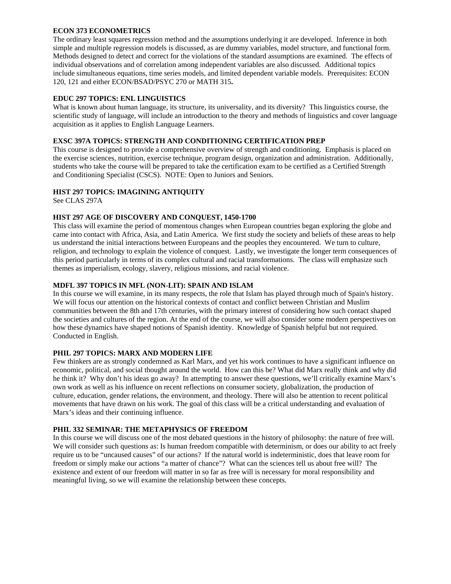### **ECON 373 ECONOMETRICS**

The ordinary least squares regression method and the assumptions underlying it are developed. Inference in both simple and multiple regression models is discussed, as are dummy variables, model structure, and functional form. Methods designed to detect and correct for the violations of the standard assumptions are examined. The effects of individual observations and of correlation among independent variables are also discussed. Additional topics include simultaneous equations, time series models, and limited dependent variable models. Prerequisites: ECON 120, 121 and either ECON/BSAD/PSYC 270 or MATH 315**.** 

# **EDUC 297 TOPICS: ENL LINGUISTICS**

What is known about human language, its structure, its universality, and its diversity? This linguistics course, the scientific study of language, will include an introduction to the theory and methods of linguistics and cover language acquisition as it applies to English Language Learners.

# **EXSC 397A TOPICS: STRENGTH AND CONDITIONING CERTIFICATION PREP**

This course is designed to provide a comprehensive overview of strength and conditioning. Emphasis is placed on the exercise sciences, nutrition, exercise technique, program design, organization and administration. Additionally, students who take the course will be prepared to take the certification exam to be certified as a Certified Strength and Conditioning Specialist (CSCS). NOTE: Open to Juniors and Seniors.

# **HIST 297 TOPICS: IMAGINING ANTIQUITY**

See CLAS 297A

# **HIST 297 AGE OF DISCOVERY AND CONQUEST, 1450-1700**

This class will examine the period of momentous changes when European countries began exploring the globe and came into contact with Africa, Asia, and Latin America. We first study the society and beliefs of these areas to help us understand the initial interactions between Europeans and the peoples they encountered. We turn to culture, religion, and technology to explain the violence of conquest. Lastly, we investigate the longer term consequences of this period particularly in terms of its complex cultural and racial transformations. The class will emphasize such themes as imperialism, ecology, slavery, religious missions, and racial violence.

# **MDFL 397 TOPICS IN MFL (NON-LIT): SPAIN AND ISLAM**

In this course we will examine, in its many respects, the role that Islam has played through much of Spain's history. We will focus our attention on the historical contexts of contact and conflict between Christian and Muslim communities between the 8th and 17th centuries, with the primary interest of considering how such contact shaped the societies and cultures of the region. At the end of the course, we will also consider some modern perspectives on how these dynamics have shaped notions of Spanish identity. Knowledge of Spanish helpful but not required. Conducted in English.

# **PHIL 297 TOPICS: MARX AND MODERN LIFE**

Few thinkers are as strongly condemned as Karl Marx, and yet his work continues to have a significant influence on economic, political, and social thought around the world. How can this be? What did Marx really think and why did he think it? Why don't his ideas go away? In attempting to answer these questions, we'll critically examine Marx's own work as well as his influence on recent reflections on consumer society, globalization, the production of culture, education, gender relations, the environment, and theology. There will also be attention to recent political movements that have drawn on his work. The goal of this class will be a critical understanding and evaluation of Marx's ideas and their continuing influence.

# **PHIL 332 SEMINAR: THE METAPHYSICS OF FREEDOM**

In this course we will discuss one of the most debated questions in the history of philosophy: the nature of free will. We will consider such questions as: Is human freedom compatible with determinism, or does our ability to act freely require us to be "uncaused causes" of our actions? If the natural world is indeterministic, does that leave room for freedom or simply make our actions "a matter of chance"? What can the sciences tell us about free will? The existence and extent of our freedom will matter in so far as free will is necessary for moral responsibility and meaningful living, so we will examine the relationship between these concepts.